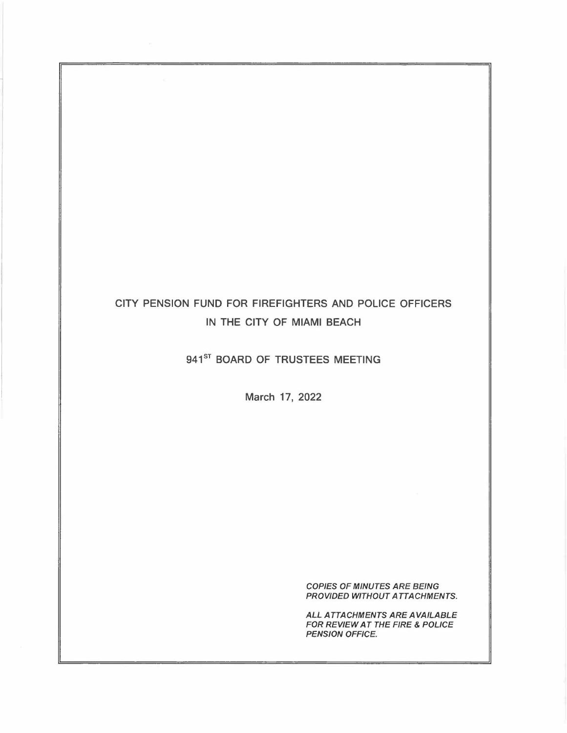# CITY PENSION FUND FOR FIREFIGHTERS AND POLICE OFFICERS IN THE CITY OF MIAMI BEACH

## 941<sup>ST</sup> BOARD OF TRUSTEES MEETING

March 17, 2022

*COPIES OF MINUTES ARE BEING PROVIDED WITHOUT ATTACHMENTS.* 

*ALL ATTACHMENTS ARE AVAILABLE FOR REVIEW AT THE FIRE* & *POLICE PENSION OFFICE.*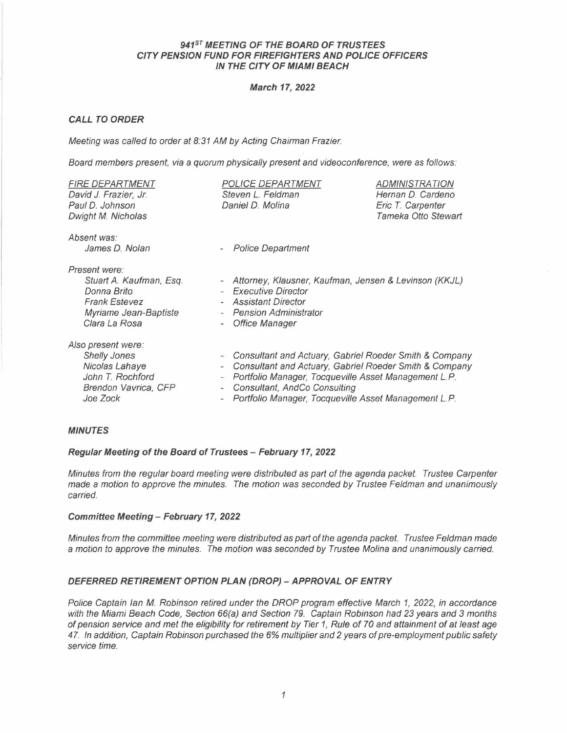## *941°' MEETING OF THE BOARD OF TRUSTEES CITY PENSION FUND FOR FIREFIGHTERS AND POLICE OFFICERS IN THE CITY OF MIAMI BEACH*

## *March 17, 2022*

## *CALL TO ORDER*

*Meeting was called to order at 8.31 AM by Acting Chairman Frazier.* 

Board members present, via a *quorum physically present and videoconference*, were as follows:

| <b>FIRE DEPARTMENT</b><br>David J. Frazier, Jr.<br>Paul D. Johnson<br>Dwight M. Nicholas                                  | <b>POLICE DEPARTMENT</b><br>Steven L. Feldman<br>Daniel D. Molina                                                                                                                                                                                                                                                             | <b>ADMINISTRATION</b><br>Hernan D. Cardeno<br>Eric T. Carpenter<br>Tameka Otto Stewart |
|---------------------------------------------------------------------------------------------------------------------------|-------------------------------------------------------------------------------------------------------------------------------------------------------------------------------------------------------------------------------------------------------------------------------------------------------------------------------|----------------------------------------------------------------------------------------|
| Absent was:<br>James D. Nolan                                                                                             | <b>Police Department</b>                                                                                                                                                                                                                                                                                                      |                                                                                        |
| Present were:<br>Stuart A. Kaufman, Esq.<br>Donna Brito<br><b>Frank Estevez</b><br>Myriame Jean-Baptiste<br>Clara La Rosa | Attorney, Klausner, Kaufman, Jensen & Levinson (KKJL)<br>$\overline{\phantom{a}}$<br><b>Executive Director</b><br><b>Assistant Director</b><br><b>Pension Administrator</b><br>$\overline{\phantom{a}}$<br><b>Office Manager</b>                                                                                              |                                                                                        |
| Also present were:<br><b>Shelly Jones</b><br>Nicolas Lahaye<br>John T. Rochford<br>Brendon Vavrica, CFP<br>Joe Zock       | Consultant and Actuary, Gabriel Roeder Smith & Company<br>$\overline{\phantom{a}}$<br>Consultant and Actuary, Gabriel Roeder Smith & Company<br>-<br>Portfolio Manager, Tocqueville Asset Management L.P.<br>Consultant, AndCo Consulting<br>$\overline{\phantom{a}}$<br>Portfolio Manager, Tocqueville Asset Management L.P. |                                                                                        |

## *MINUTES*

## *Regular Meeting of the Board of Trustees - February 17, 2022*

*Minutes from the regular board meeting were distributed as part of the agenda packet. Trustee Carpenter made* a *motion to approve the minutes. The motion was seconded by Trustee Feldman and unanimous/y carried.* 

## *Committee Meeting- February 17, 2022*

*Minutes from the committee meeting were distributed as part of the agenda packet. Trustee Feldman made a motion to approve the minutes. The motion was seconded by Trustee Molina and unanimously carried.* 

## *DEFERRED RETIREMENT OPTION PLAN (DROP) - APPROVAL OF ENTRY*

*Police Captain Ian M. Robinson retired under the DROP program effective March 1, 2022, in accordance with the Miami Beach Code, Section 66(a) and Section 79. Captain Robinson had 23 years and 3 months of pension service and met the eligibility for retirement by Tier 1, Rule of 70 and attainment of at least age <sup>4</sup>*7. *In addition, Captain Robinson purchased the 6% multiplier and 2 years of pre-employment public safety service time.*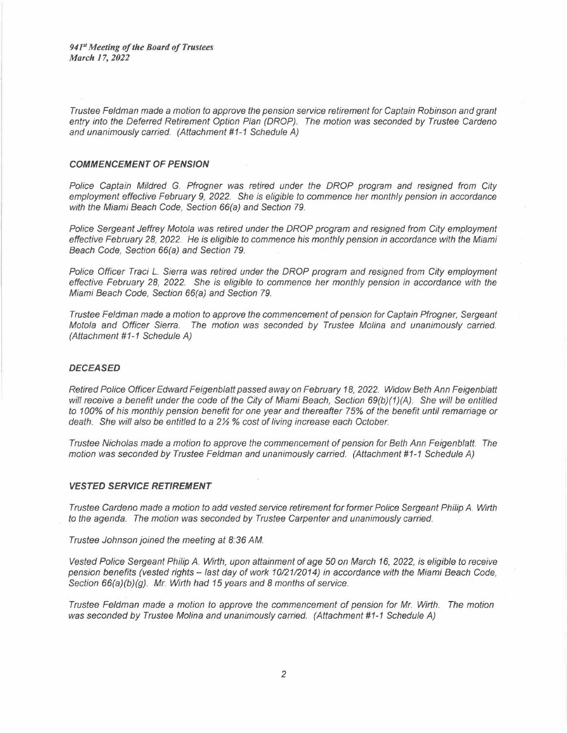*<sup>941</sup>Meeting of the Board of Trustees March 17, 2022* 

*Trustee Feldman made a motion to approve the pension service retirement for Captain Robinson and grant entry into the Deferred Retirement Option Plan (DROP). The motion was seconded by Trustee Cardena and unanimously carried. (Attachment #1-1 Schedule AJ* 

#### *COMMENCEMENT OF PENSION*

*Police Captain Mildred* G. *Pfrogner was retired under the DROP program and resigned from City employment effective February* 9, *2022. She is eligible to commence her monthly pension in accordance with the Miami Beach Code, Section 66(a) and Section 79.* 

*Police Sergeant Jeffrey Motola was retired under the DROP program and resigned from City employment effective February 28, 2022. He is eligible to commence his monthly pension in accordance with the Miami Beach Code, Section 66(a) and Section 79.* 

*Police Officer Traci L. Sierra was retired under the DROP program and resigned from City employment effective February 28, 2022. She is eligible to commence her monthly pension in accordance with the Miami Beach Code, Section 66(a) and Section 79.* 

*Trustee Feldman made a motion to approve the commencement of pension for Captain Pfrogner, Sergeant Motola and Officer Sierra. The motion was seconded by Trustee Molina and unanimously carried. (Attachment #1-1 Schedule A)* 

#### *DECEASED*

*Retired Police Officer Edward Feigenblatt passed away on February 18, 2022. Widow Beth Ann Feigenblatt will receive a benefit under the code of the City of Miami Beach, Section 69(b)(1)(A). She will be entitled to 100% of his monthly pension benefit for one year and thereafter 75% of the benefit until remarriage or death. She will also be entitled to a 2½* % *cost of living increase each October.* 

*Trustee Nicholas made a motion to approve the commencement of pension for Beth Ann Feigenblatt. The motion was seconded by Trustee Feldman and unanimously carried. (Attachment #1-1 Schedule A)* 

#### *VESTED SERVICE RETIREMENT*

*Trustee Cardena made a motion to add vested service retirement for former Police Sergeant Philip A. Wirth to the agenda. The motion was seconded by Trustee Carpenter and unanimously carried.* 

*Trustee Johnson joined the meeting at 8.36 AM.* 

*Vested Police Sergeant Philip A. Wirth, upon attainment of age 50 on March 16, 2022, is eligible to receive pension benefits (vested rights - last day of work 10/21/2014) in accordance with the Miami Beach Code, Section 66(a)(b)(g). Mr. Wirth had 15 years and 8 months of service.* 

*Trustee Feldman made a motion to approve the commencement of pension for Mr. Wirth. The motion was seconded by Trustee Molina and unanimously carried. (Attachment #1-1 Schedule A)*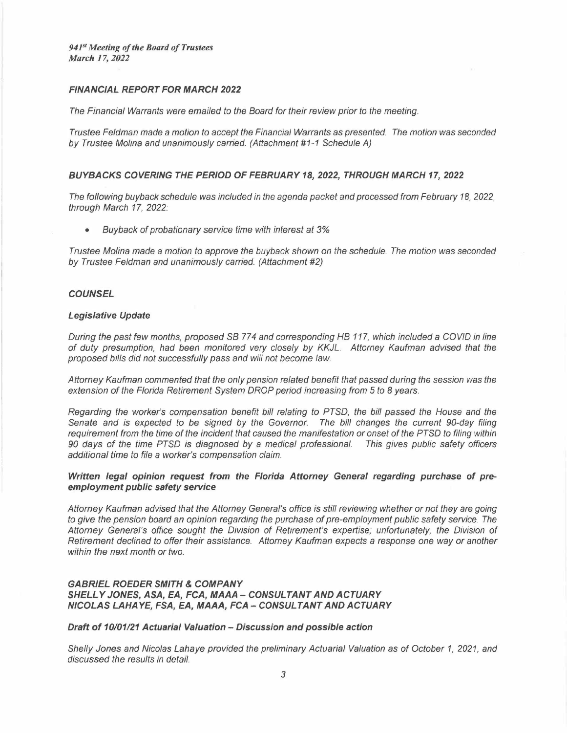## *FINANCIAL REPORT FOR MARCH 2022*

*The Financial Warrants were emailed to the Board for their review prior to the meeting.* 

*Trustee Feldman made* a *motion to accept the Financial Warrants* as *presented. The motion was seconded by Trustee Molina and unanimously carried. (Attachment # 1-1 Schedule A)* 

#### *BUYBACKS COVERING THE PERIOD OF FEBRUARY 18, 2022, THROUGH MARCH 17, 2022*

*The following buyback schedule was included in the agenda packet and processed from February 18, 2022, through March 17, 2022.* 

*• Buyback of probationary service time with interest at* 3%

*Trustee Molina made* a *motion to approve the buyback shown on the schedule. The motion was seconded by Trustee Feldman and unanimously carried. (Attachment #2)* 

#### *COUNSEL*

#### *Legislative Update*

*During the past few months, proposed SB* 77 *4 and corresponding HB 117, which included* a *COVID in line of duty presumption, had been monitored very closely by KKJL. Attorney Kaufman advised that the proposed bills did not successfully pass and will not become law.* 

*Attorney Kaufman commented that the only pension related benefit that passed during the session was the extension of the Florida Retirement System DROP period increasing from 5 to 8 years.* 

*Regarding the worker's compensation benefit bill relating to PTSD, the bill passed the House and the Senate and is expected to be signed by the Governor. The bill changes the current 90-day filing requirement from the time of the incident that caused the manifestation or onset of the PTSD to filing within 90 days of the time PTSD is diagnosed by* a *medical professional. This gives public safety officers additional time to file* a *worker's compensation claim.* 

*Written legal opinion request from the Florida Attorney General regarding purchase of preemployment public safety service* 

*Attorney Kaufman advised that the Attorney General's office is still reviewing whether or not they are going to give the pension board an opinion regarding the purchase of pre-employment public safety service. The*  Attorney General's office sought the Division of Retirement's expertise; unfortunately, the Division of *Retirement declined to offer their assistance. Attorney Kaufman expects* a *response one way or another within the next month or two.* 

## *GABRIEL ROEDER SMITH* **&** *COMPANY SHELL Y JONES, ASA, EA, FCA, MAAA -- CONSULTANT AND ACTUARY NICOLAS LAHAYE, FSA, EA, MAAA, FCA -- CONSULTANT AND ACTUARY*

#### *Draft of 10/01121 Actuarial Valuation - Discussion and possible action*

*Shelly Jones and Nicolas Lahaye provided the preliminary Actuarial Valuation as of October 1, 2021, and discussed the results in detail.*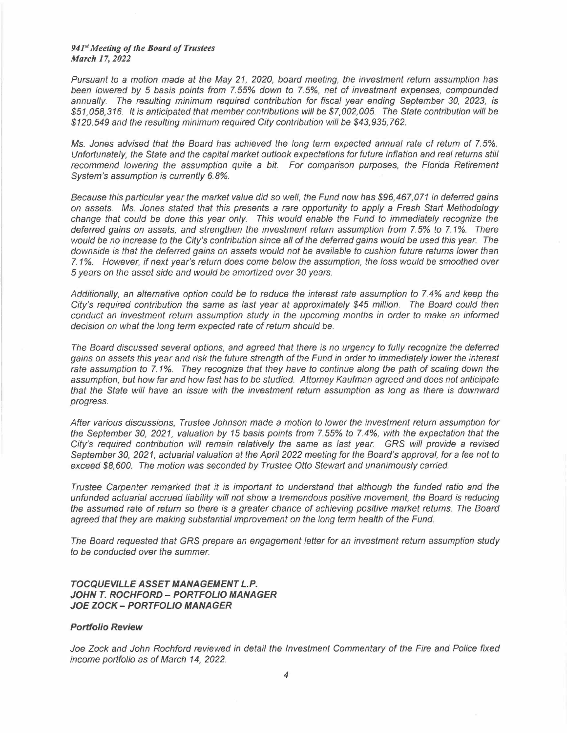#### *941 Meeting of the Board of Trustees March 17, 2022*

*Pursuant to a motion made at the May 21, 2020, board meeting, the investment return assumption has been lowered by* 5 *basis points from* 7. 55% *down to* 7.5%, *net of investment expenses, compounded annually. The resulting minimum required contribution for fiscal year ending September 30, 2023, is \$51,058,316. It is anticipated that member contributions will be \$7,002,005. The State contribution will be \$120,549 and the resulting minimum required City contribution will be \$43,935,762.* 

*Ms. Jones advised that the Board has achieved the long term expected annual rate of return of 7.5%. Unfortunately, the State and the capital market outlook expectations for future inflation and real returns still*  recommend lowering the assumption quite a bit. For comparison purposes, the Florida Retirement *System's assumption is currently 6. 8%.* 

*Because this particular year the market value did so well, the Fund now has \$96,467,071 in deferred gains on assets. Ms. Jones stated that this presents a rare opportunity to apply a Fresh Start Methodology change that could be done this year only. This would enable the Fund to immediate/y recognize the deferred gains on assets, and strengthen the investment return assumption from* 7. 5% *to* 7. *1*%. *There would be no increase to the City's contribution since all of the deferred gains would be used this year. The downside is that the deferred gains on assets would not be available to cushion future returns lower than*  7. *1* %. *However, if next year's return does come below the assumption, the loss would be smoothed over*  <sup>5</sup>*years on the asset side and would be amortized over 30 years.* 

*Additionally, an alternative option could be to reduce the interest rate assumption to* 7. *4% and keep the City's required contribution the. same as last year at approximately \$45 million. The Board could then conduct an investment return assumption study in the upcoming months in order to make an informed decision on what the long term expected rate of return should be.* 

*The Board discussed several options, and agreed that there is no urgency to fully recognize the deferred gains on assets this year and risk the future strength of the Fund in order to immediately lower the interest rate assumption to 7.1%. They recognize that they have to continue along the path of scaling down the assumption, but how far and how fast has to be studied. Attorney Kaufman agreed and does not anticipate that the State will have an issue with the investment return assumption as long as there is downward progress.* 

*After various discussions, Trustee Johnson made a motion to lower the investment return assumption for the September 30, 2021, valuation by 15 basis points from* 7.55% *to 7.4%, with the expectation that the*  City's required contribution will remain relatively the same as last year. GRS will provide a revised<br>September 30, 2021, actuarial valuation at the April 2022 meeting for the Board's approval, for a fee not to *exceed \$8,600. The motion was seconded by Trustee Otto Stewart and unanimously carried.* 

*Trustee Carpenter remarked that it is important to understand that although the funded ratio and the unfunded actuarial accrued liability will not show a tremendous positive movement, the Board is reducing the assumed rate of return so there is a greater chance of achieving positive market returns. The Board agreed that they are making substantial improvement on the long term health of the Fund.* 

*The Board requested that GRS prepare an engagement letter for an investment return assumption study to be conducted over the summer.* 

## *TOCQUEVILLE ASSET MANAGEMENT L.P. JOHN T. ROCHFORD -- PORTFOLIO MANAGER JOE ZOCK - PORTFOLIO MANAGER*

#### *Portfolio Review*

Joe Zock and John Rochford reviewed in detail the Investment Commentary of the Fire and Police fixed *income portfolio as of March 14, 2022.*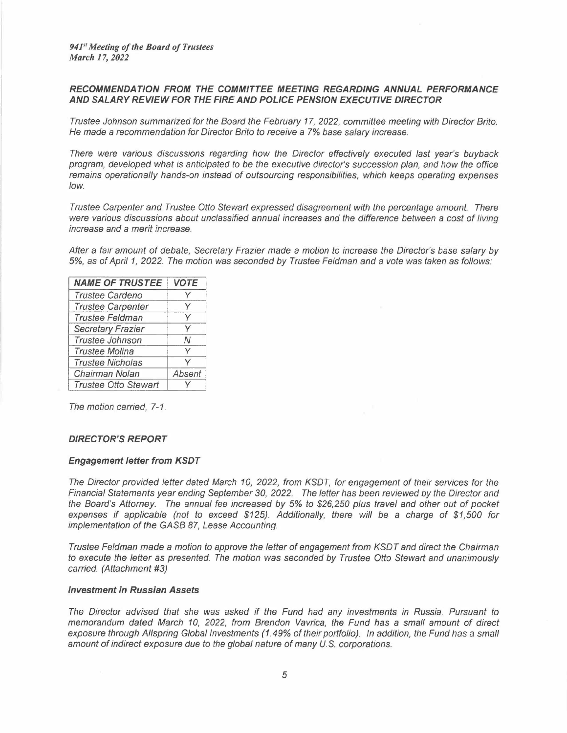## *RECOMMENDATION FROM THE COMMITTEE MEETING REGARDING ANNUAL PERFORMANCE AND SALARY REVIEW FOR THE FIRE AND POLICE PENSION EXECUTIVE DIRECTOR*

*Trustee Johnson summarized for the Board the February 17, 2022, committee meeting with Director Brito. He made* a *recommendation for Director Brito to receive* a 7% *base salary increase.* 

*There were various discussions regarding how the Director effectively executed last year's buyback program, developed what is anticipated to be the executive director's succession plan, and how the office remains operationally hands-on instead of outsourcing responsibilities, which keeps operating expenses low.* 

*Trustee Carpenter and Trustee Otto Stewart expressed disagreement with the percentage amount. There*  were various discussions about unclassified annual increases and the difference between a cost of living *increase and* a *merit increase.* 

*After* a *fair amount of debate, Secretary Frazier made* a *motion to increase the Director's base salary by*  5%, as *of April 1, 2022 The motion was seconded by Trustee Feldman and* a *vote was taken* as *follows:* 

| <b>NAME OF TRUSTEE</b>      | <b>VOTE</b> |
|-----------------------------|-------------|
| Trustee Cardeno             |             |
| <b>Trustee Carpenter</b>    | v           |
| <b>Trustee Feldman</b>      | v           |
| <b>Secretary Frazier</b>    | v           |
| Trustee Johnson             | Ν           |
| <b>Trustee Molina</b>       | v           |
| <b>Trustee Nicholas</b>     |             |
| Chairman Nolan              | Absent      |
| <b>Trustee Otto Stewart</b> |             |

*The motion carried, 7-1.* 

## *DIRECTOR'S REPORT*

#### *Engagement letter from KSDT*

*The Director provided letter dated March 10, 2022, from KSDT, for engagement of their services for the Financial Statements year ending September 30, 2022. The letter has been reviewed by the Director and the Board's Attorney. The annual fee increased by* 5% *to \$26,250 plus travel and other out of pocket expenses if applicable (not to exceed \$125). Additionally, there will be* a *charge of \$1,500 for implementation of the GASB* 87, *Lease Accounting.* 

*Trustee Feldman made a motion to approve the letter of engagement from KSDT and direct the Chairman to execute the letter as presented. The motion was seconded by Trustee Otto Stewart and unanimously carried. (Attachment #3)* 

#### *Investment in Russian Assets*

*The Director advised that she was asked if the Fund had any investments in Russia. Pursuant to memorandum dated March 10, 2022, from Brendon Vavrica, the Fund has a small amount of direct exposure through Allspring Global Investments (1.49% of their portfolio). In addition, the Fund has a small* amount of indirect exposure due to the global nature of many U.S. corporations.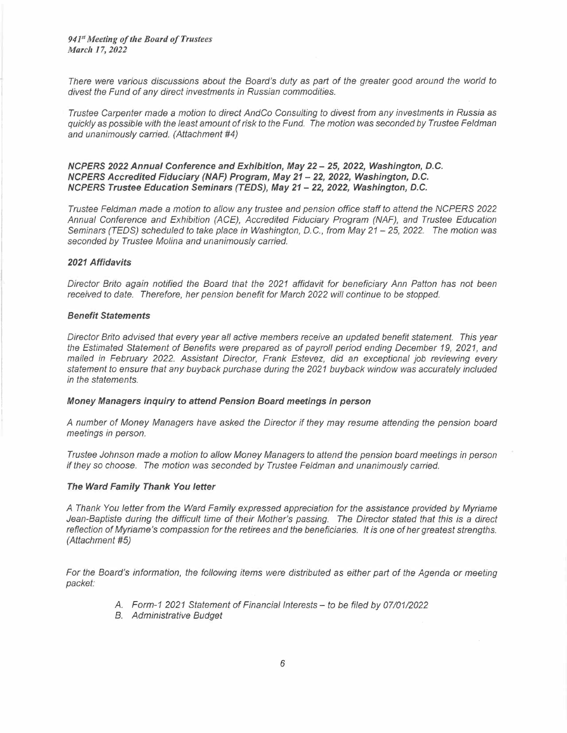*941" Meeting of the Board of Trustees March 17, 2022* 

*There were various discussions about the Board's duty as part of the greater good around the world to divest the Fund of any direct investments in Russian commodities.* 

*Trustee Carpenter made* a *motion to direct AndCo Consulting to divest from any investments in Russia as quickly as possible with the least amount of risk to the Fund. The motion was seconded by Trustee Feldman and unanimously carried. (Attachment #4)* 

## *NCPERS 2022 Annual Conference and Exhibition, May 22 - 25, 2022, Washington, D.C. NCPERS Accredited Fiduciary (NAF) Program, May 21 - 22, 2022, Washington, D.C. NCPERS Trustee Education Seminars (TEDS), May 21 - 22, 2022, Washington, D.C.*

*Trustee Feldman made* a *motion to allow any trustee and pension office staff to attend the NCPERS 2022 Annual Conference and Exhibition (ACE), Accredited Fiduciary Program (NAF), and Trustee Education Seminars (TEDS) scheduled to take place in Washington, D.C., from May 21- 25, 2022. The motion was seconded by Trustee Molina and unanimous/y carried.* 

#### *2021 Affidavits*

*Director Brito again notified the Board that the 2021 affidavit for beneficiary Ann Patton has not been received to date. Therefore, her pension benefit for March 2022 will continue to be stopped.* 

#### *Benefit Statements*

*Director Brito advised that every year all active members receive an updated benefit statement. This year the Estimated Statement of Benefits were prepared as of payroll period ending December 19, 2021, and mailed in February 2022. Assistant Director, Frank Estevez, did an exceptional job reviewing every statement to ensure that any buyback purchase during the 2021 buyback window was accurate/y included in the statements.* 

#### *Money Managers inquiry to attend Pension Board meetings in person*

*A number of Money Managers have asked the Director if they may resume attending the pension board meetings in person.* 

*Trustee Johnson made* a *motion to allow Money Managers to attend the pension board meetings in person if they so choose. The motion was seconded by Trustee Feldman and unanimously carried.* 

#### *The Ward Family Thank You letter*

*A Thank You letter from the Ward Family expressed appreciation for the assistance provided by Myriame*  Jean-Baptiste during the difficult time of their Mother's passing. The Director stated that this is a direct *reflection of Myriame's compassion for the retirees and the beneficiaries. It is one of her greatest strengths. (Attachment #5)* 

*For the Board's information, the following items were distributed as either part of the Agenda or meeting packet:* 

- *A. Form-1 2021 Statement of Financial Interests- to be filed by 07/01/2022*
- *B. Administrative Budget*